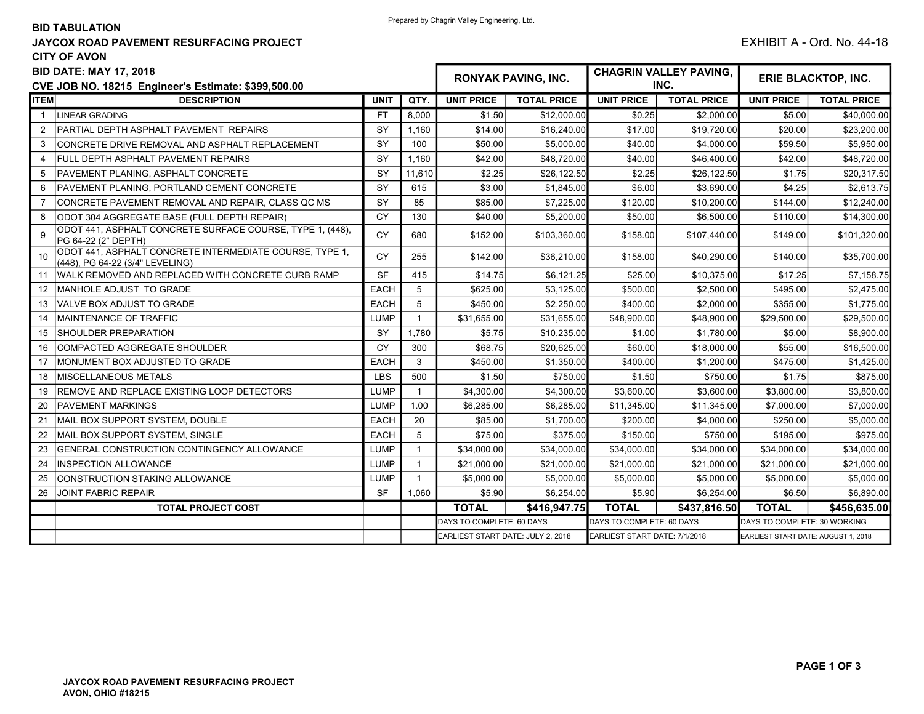## BID TABULATION

## JAYCOX ROAD PAVEMENT RESURFACING PROJECT **EXHIBIT A** - Ord. No. 44-18 CITY OF AVON

| <b>BID DATE: MAY 17, 2018</b><br>CVE JOB NO. 18215 Engineer's Estimate: \$399,500.00 |                                                                                            |             |                | <b>RONYAK PAVING, INC.</b>        |                    | <b>CHAGRIN VALLEY PAVING,</b><br>INC. |                    | ERIE BLACKTOP, INC.                 |                    |
|--------------------------------------------------------------------------------------|--------------------------------------------------------------------------------------------|-------------|----------------|-----------------------------------|--------------------|---------------------------------------|--------------------|-------------------------------------|--------------------|
| <b>ITEM</b>                                                                          | <b>DESCRIPTION</b>                                                                         |             | QTY.           | <b>UNIT PRICE</b>                 | <b>TOTAL PRICE</b> | <b>UNIT PRICE</b>                     | <b>TOTAL PRICE</b> | <b>UNIT PRICE</b>                   | <b>TOTAL PRICE</b> |
| $\overline{1}$                                                                       | LINEAR GRADING                                                                             | <b>FT</b>   | 8,000          | \$1.50                            | \$12,000.00        | \$0.25                                | \$2,000.00         | \$5.00                              | \$40,000.00        |
| 2                                                                                    | PARTIAL DEPTH ASPHALT PAVEMENT REPAIRS                                                     | SY          | 1.160          | \$14.00                           | \$16,240.00        | \$17.00                               | \$19,720.00        | \$20.00                             | \$23,200.00        |
| 3                                                                                    | CONCRETE DRIVE REMOVAL AND ASPHALT REPLACEMENT                                             | SY          | 100            | \$50.00                           | \$5,000.00         | \$40.00                               | \$4,000.00         | \$59.50                             | \$5,950.00         |
| 4                                                                                    | <b>FULL DEPTH ASPHALT PAVEMENT REPAIRS</b>                                                 | SY          | 1,160          | \$42.00                           | \$48,720.00        | \$40.00                               | \$46,400.00        | \$42.00                             | \$48,720.00        |
| 5                                                                                    | <b>PAVEMENT PLANING. ASPHALT CONCRETE</b>                                                  | <b>SY</b>   | 11.610         | \$2.25                            | \$26.122.50        | \$2.25                                | \$26.122.50        | \$1.75                              | \$20,317.50        |
| 6                                                                                    | PAVEMENT PLANING, PORTLAND CEMENT CONCRETE                                                 | SY          | 615            | \$3.00                            | \$1,845.00         | \$6.00                                | \$3,690.00         | \$4.25                              | \$2,613.75         |
|                                                                                      | CONCRETE PAVEMENT REMOVAL AND REPAIR, CLASS QC MS                                          | SY          | 85             | \$85.00                           | \$7,225.00         | \$120.00                              | \$10,200.00        | \$144.00                            | \$12,240.00        |
| 8                                                                                    | ODOT 304 AGGREGATE BASE (FULL DEPTH REPAIR)                                                | <b>CY</b>   | 130            | \$40.00                           | \$5,200.00         | \$50.00                               | \$6,500.00         | \$110.00                            | \$14,300.00        |
| 9                                                                                    | ODOT 441, ASPHALT CONCRETE SURFACE COURSE, TYPE 1, (448),<br>PG 64-22 (2" DEPTH)           | <b>CY</b>   | 680            | \$152.00                          | \$103,360.00       | \$158.00                              | \$107,440.00       | \$149.00                            | \$101,320.00       |
| 10                                                                                   | ODOT 441, ASPHALT CONCRETE INTERMEDIATE COURSE, TYPE 1,<br>(448), PG 64-22 (3/4" LEVELING) | <b>CY</b>   | 255            | \$142.00                          | \$36,210.00        | \$158.00                              | \$40,290.00        | \$140.00                            | \$35,700.00        |
| 11                                                                                   | WALK REMOVED AND REPLACED WITH CONCRETE CURB RAMP                                          | <b>SF</b>   | 415            | \$14.75                           | \$6,121.25         | \$25.00                               | \$10,375.00        | \$17.25                             | \$7,158.75         |
| $12 \overline{ }$                                                                    | <b>MANHOLE ADJUST TO GRADE</b>                                                             | <b>EACH</b> | 5              | \$625.00                          | \$3,125.00         | \$500.00                              | \$2,500.00         | \$495.00                            | \$2,475.00         |
| 13                                                                                   | VALVE BOX ADJUST TO GRADE                                                                  | <b>EACH</b> | 5              | \$450.00                          | \$2,250.00         | \$400.00                              | \$2,000.00         | \$355.00                            | \$1,775.00         |
| 14                                                                                   | <b>IMAINTENANCE OF TRAFFIC</b>                                                             | <b>LUMP</b> | $\mathbf 1$    | \$31,655.00                       | \$31,655.00        | \$48,900.00                           | \$48,900.00        | \$29,500.00                         | \$29,500.00        |
| 15                                                                                   | <b>SHOULDER PREPARATION</b>                                                                | SY          | 1,780          | \$5.75                            | \$10,235.00        | \$1.00                                | \$1,780.00         | \$5.00                              | \$8,900.00         |
| 16                                                                                   | COMPACTED AGGREGATE SHOULDER                                                               | <b>CY</b>   | 300            | \$68.75                           | \$20,625.00        | \$60.00                               | \$18,000.00        | \$55.00                             | \$16,500.00        |
| 17                                                                                   | MONUMENT BOX ADJUSTED TO GRADE                                                             | <b>EACH</b> | 3              | \$450.00                          | \$1,350.00         | \$400.00                              | \$1,200.00         | \$475.00                            | \$1,425.00         |
| 18                                                                                   | <b>IMISCELLANEOUS METALS</b>                                                               | <b>LBS</b>  | 500            | \$1.50                            | \$750.00           | \$1.50                                | \$750.00           | \$1.75                              | \$875.00           |
| 19                                                                                   | REMOVE AND REPLACE EXISTING LOOP DETECTORS                                                 | <b>LUMP</b> | $\mathbf{1}$   | \$4.300.00                        | \$4,300.00         | \$3,600.00                            | \$3,600.00         | \$3,800.00                          | \$3,800.00         |
| 20                                                                                   | <b>PAVEMENT MARKINGS</b>                                                                   | <b>LUMP</b> | 1.00           | \$6,285.00                        | \$6,285.00         | \$11,345.00                           | \$11,345.00        | \$7,000.00                          | \$7,000.00         |
| 21                                                                                   | MAIL BOX SUPPORT SYSTEM, DOUBLE                                                            | <b>EACH</b> | 20             | \$85.00                           | \$1,700.00         | \$200.00                              | \$4,000.00         | \$250.00                            | \$5,000.00         |
| 22                                                                                   | MAIL BOX SUPPORT SYSTEM. SINGLE                                                            | <b>EACH</b> | 5              | \$75.00                           | \$375.00           | \$150.00                              | \$750.00           | \$195.00                            | \$975.00           |
| 23                                                                                   | <b>GENERAL CONSTRUCTION CONTINGENCY ALLOWANCE</b>                                          | <b>LUMP</b> | -1             | \$34,000.00                       | \$34,000.00        | \$34,000.00                           | \$34,000.00        | \$34,000.00                         | \$34,000.00        |
| 24                                                                                   | <b>INSPECTION ALLOWANCE</b>                                                                | <b>LUMP</b> | $\overline{1}$ | \$21,000.00                       | \$21,000.00        | \$21,000.00                           | \$21,000.00        | \$21,000.00                         | \$21,000.00        |
| 25                                                                                   | CONSTRUCTION STAKING ALLOWANCE                                                             | <b>LUMP</b> | $\mathbf{1}$   | \$5,000.00                        | \$5.000.00         | \$5,000.00                            | \$5,000.00         | \$5,000.00                          | \$5,000.00         |
| 26                                                                                   | JOINT FABRIC REPAIR                                                                        | <b>SF</b>   | 1,060          | \$5.90                            | \$6,254.00         | \$5.90                                | \$6,254.00         | \$6.50                              | \$6,890.00         |
|                                                                                      | <b>TOTAL PROJECT COST</b>                                                                  |             |                | <b>TOTAL</b>                      | \$416,947.75       | <b>TOTAL</b>                          | \$437.816.50       | <b>TOTAL</b>                        | \$456,635,00       |
|                                                                                      |                                                                                            |             |                | DAYS TO COMPLETE: 60 DAYS         |                    | DAYS TO COMPLETE: 60 DAYS             |                    | DAYS TO COMPLETE: 30 WORKING        |                    |
|                                                                                      |                                                                                            |             |                | EARLIEST START DATE: JULY 2, 2018 |                    | EARLIEST START DATE: 7/1/2018         |                    | EARLIEST START DATE: AUGUST 1, 2018 |                    |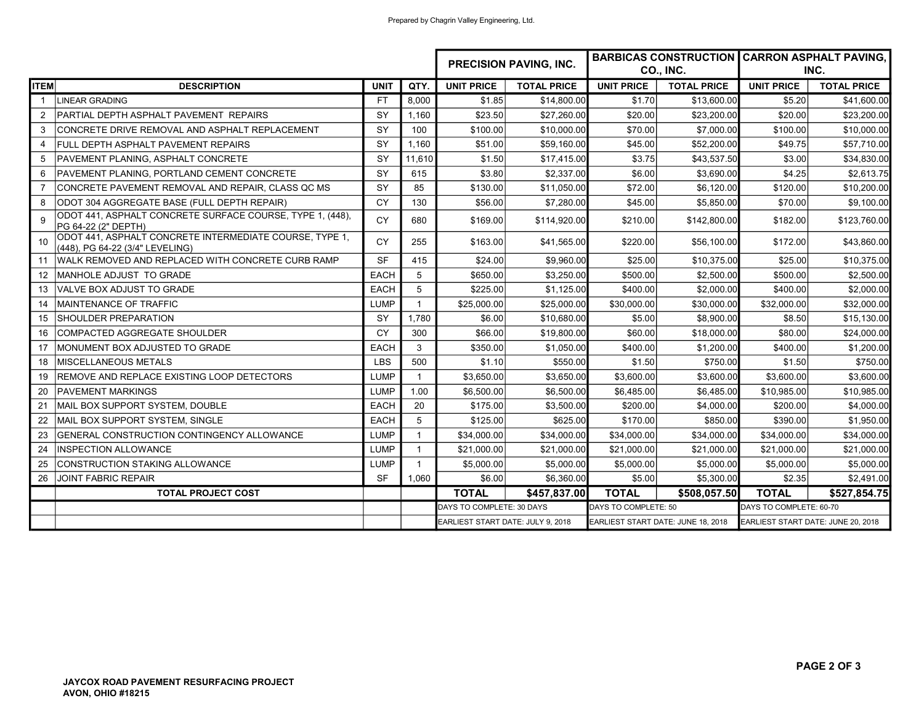|                 |                                                                                            |             | <b>PRECISION PAVING, INC.</b> |                                   |                    |                                    | <b>BARBICAS CONSTRUCTION CARRON ASPHALT PAVING,</b> |                                    |                    |
|-----------------|--------------------------------------------------------------------------------------------|-------------|-------------------------------|-----------------------------------|--------------------|------------------------------------|-----------------------------------------------------|------------------------------------|--------------------|
|                 |                                                                                            |             |                               |                                   |                    | CO., INC.                          |                                                     | INC.                               |                    |
| <b>ITEM</b>     | <b>DESCRIPTION</b>                                                                         | <b>UNIT</b> | QTY.                          | <b>UNIT PRICE</b>                 | <b>TOTAL PRICE</b> | <b>UNIT PRICE</b>                  | <b>TOTAL PRICE</b>                                  | <b>UNIT PRICE</b>                  | <b>TOTAL PRICE</b> |
| $\mathbf{1}$    | LINEAR GRADING                                                                             | <b>FT</b>   | 8.000                         | \$1.85                            | \$14,800.00        | \$1.70                             | \$13,600.00                                         | \$5.20                             | \$41,600.00        |
| 2               | PARTIAL DEPTH ASPHALT PAVEMENT REPAIRS                                                     | SY          | 1.160                         | \$23.50                           | \$27,260.00        | \$20.00                            | \$23,200.00                                         | \$20.00                            | \$23,200.00        |
| 3               | CONCRETE DRIVE REMOVAL AND ASPHALT REPLACEMENT                                             | <b>SY</b>   | 100                           | \$100.00                          | \$10,000.00        | \$70.00                            | \$7,000.00                                          | \$100.00                           | \$10,000.00        |
| $\overline{4}$  | FULL DEPTH ASPHALT PAVEMENT REPAIRS                                                        | SY          | 1.160                         | \$51.00                           | \$59,160.00        | \$45.00                            | \$52,200.00                                         | \$49.75                            | \$57,710.00        |
| 5               | PAVEMENT PLANING, ASPHALT CONCRETE                                                         | <b>SY</b>   | 11,610                        | \$1.50                            | \$17,415.00        | \$3.75                             | \$43,537.50                                         | \$3.00                             | \$34,830.00        |
| 6               | PAVEMENT PLANING, PORTLAND CEMENT CONCRETE                                                 | <b>SY</b>   | 615                           | \$3.80                            | \$2,337.00         | \$6.00                             | \$3,690.00                                          | \$4.25                             | \$2,613.75         |
| $\overline{7}$  | CONCRETE PAVEMENT REMOVAL AND REPAIR, CLASS QC MS                                          | SY          | 85                            | \$130.00                          | \$11,050.00        | \$72.00                            | \$6,120.00                                          | \$120.00                           | \$10,200.00        |
| 8               | ODOT 304 AGGREGATE BASE (FULL DEPTH REPAIR)                                                | CY          | 130                           | \$56.00                           | \$7,280.00         | \$45.00                            | \$5,850.00                                          | \$70.00                            | \$9,100.00         |
| 9               | ODOT 441, ASPHALT CONCRETE SURFACE COURSE, TYPE 1, (448),<br>PG 64-22 (2" DEPTH)           | <b>CY</b>   | 680                           | \$169.00                          | \$114.920.00       | \$210.00                           | \$142,800.00                                        | \$182.00                           | \$123,760.00       |
| 10 <sup>1</sup> | ODOT 441, ASPHALT CONCRETE INTERMEDIATE COURSE, TYPE 1,<br>(448), PG 64-22 (3/4" LEVELING) | <b>CY</b>   | 255                           | \$163.00                          | \$41,565.00        | \$220.00                           | \$56,100.00                                         | \$172.00                           | \$43,860.00        |
| 11              | WALK REMOVED AND REPLACED WITH CONCRETE CURB RAMP                                          | SF          | 415                           | \$24.00                           | \$9,960.00         | \$25.00                            | \$10,375.00                                         | \$25.00                            | \$10,375.00        |
| 12              | MANHOLE ADJUST TO GRADE                                                                    | <b>EACH</b> | 5                             | \$650.00                          | \$3,250.00         | \$500.00                           | \$2,500.00                                          | \$500.00                           | \$2,500.00         |
| 13              | VALVE BOX ADJUST TO GRADE                                                                  | <b>EACH</b> | 5                             | \$225.00                          | \$1.125.00         | \$400.00                           | \$2,000.00                                          | \$400.00                           | \$2,000.00         |
| 14              | MAINTENANCE OF TRAFFIC                                                                     | <b>LUMP</b> |                               | \$25,000.00                       | \$25,000.00        | \$30,000.00                        | \$30,000.00                                         | \$32.000.00                        | \$32,000.00        |
| 15              | <b>SHOULDER PREPARATION</b>                                                                | SY          | 1.780                         | \$6.00                            | \$10,680.00        | \$5.00                             | \$8,900.00                                          | \$8.50                             | \$15,130.00        |
| 16              | <b>COMPACTED AGGREGATE SHOULDER</b>                                                        | CY          | 300                           | \$66.00                           | \$19,800.00        | \$60.00                            | \$18,000.00                                         | \$80.00                            | \$24,000.00        |
| 17              | MONUMENT BOX ADJUSTED TO GRADE                                                             | <b>EACH</b> | 3                             | \$350.00                          | \$1,050.00         | \$400.00                           | \$1,200.00                                          | \$400.00                           | \$1,200.00         |
| 18              | <b>MISCELLANEOUS METALS</b>                                                                | <b>LBS</b>  | 500                           | \$1.10                            | \$550.00           | \$1.50                             | \$750.00                                            | \$1.50                             | \$750.00           |
| 19              | REMOVE AND REPLACE EXISTING LOOP DETECTORS                                                 | <b>LUMP</b> | $\mathbf{1}$                  | \$3,650.00                        | \$3,650.00         | \$3,600.00                         | \$3,600.00                                          | \$3,600.00                         | \$3,600.00         |
| 20              | <b>PAVEMENT MARKINGS</b>                                                                   | <b>LUMP</b> | 1.00                          | \$6,500.00                        | \$6,500.00         | \$6,485.00                         | \$6,485.00                                          | \$10,985.00                        | \$10,985.00        |
| 21              | MAIL BOX SUPPORT SYSTEM, DOUBLE                                                            | <b>EACH</b> | 20                            | \$175.00                          | \$3,500.00         | \$200.00                           | \$4,000.00                                          | \$200.00                           | \$4,000.00         |
| 22              | MAIL BOX SUPPORT SYSTEM, SINGLE                                                            | <b>EACH</b> | 5                             | \$125.00                          | \$625.00           | \$170.00                           | \$850.00                                            | \$390.00                           | \$1,950.00         |
| 23              | GENERAL CONSTRUCTION CONTINGENCY ALLOWANCE                                                 | <b>LUMP</b> |                               | \$34,000.00                       | \$34,000.00        | \$34,000.00                        | \$34,000.00                                         | \$34,000.00                        | \$34,000.00        |
| 24              | INSPECTION ALLOWANCE                                                                       | <b>LUMP</b> |                               | \$21,000.00                       | \$21,000.00        | \$21,000.00                        | \$21,000.00                                         | \$21,000.00                        | \$21,000.00        |
| 25              | <b>CONSTRUCTION STAKING ALLOWANCE</b>                                                      | <b>LUMP</b> |                               | \$5,000.00                        | \$5,000.00         | \$5,000.00                         | \$5,000.00                                          | \$5,000.00                         | \$5,000.00         |
| 26              | <b>JOINT FABRIC REPAIR</b>                                                                 | <b>SF</b>   | 1,060                         | \$6.00                            | \$6,360.00         | \$5.00                             | \$5,300.00                                          | \$2.35                             | \$2,491.00         |
|                 | <b>TOTAL PROJECT COST</b>                                                                  |             |                               | <b>TOTAL</b>                      | \$457,837.00       | <b>TOTAL</b>                       | \$508,057.50                                        | <b>TOTAL</b>                       | \$527,854.75       |
|                 |                                                                                            |             |                               | DAYS TO COMPLETE: 30 DAYS         |                    | DAYS TO COMPLETE: 50               |                                                     | DAYS TO COMPLETE: 60-70            |                    |
|                 |                                                                                            |             |                               | EARLIEST START DATE: JULY 9, 2018 |                    | EARLIEST START DATE: JUNE 18, 2018 |                                                     | EARLIEST START DATE: JUNE 20, 2018 |                    |